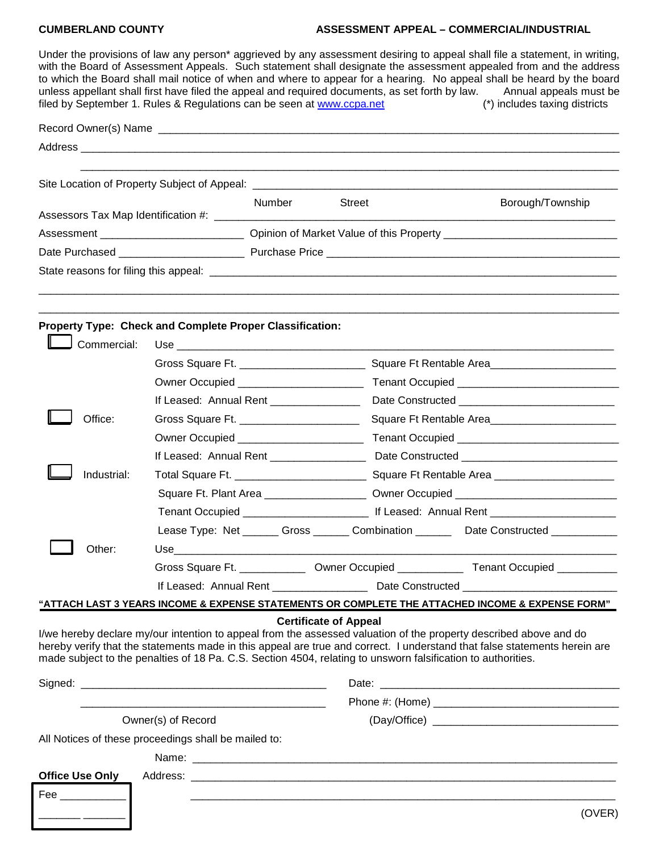## **CUMBERLAND COUNTY ASSESSMENT APPEAL – COMMERCIAL/INDUSTRIAL**

| filed by September 1. Rules & Regulations can be seen at www.ccpa.net                                                                                                                                                             |                                                                                             |        |                              |                                                                                  | Under the provisions of law any person* aggrieved by any assessment desiring to appeal shall file a statement, in writing,<br>with the Board of Assessment Appeals. Such statement shall designate the assessment appealed from and the address<br>to which the Board shall mail notice of when and where to appear for a hearing. No appeal shall be heard by the board<br>unless appellant shall first have filed the appeal and required documents, as set forth by law. Annual appeals must be<br>(*) includes taxing districts |  |  |
|-----------------------------------------------------------------------------------------------------------------------------------------------------------------------------------------------------------------------------------|---------------------------------------------------------------------------------------------|--------|------------------------------|----------------------------------------------------------------------------------|-------------------------------------------------------------------------------------------------------------------------------------------------------------------------------------------------------------------------------------------------------------------------------------------------------------------------------------------------------------------------------------------------------------------------------------------------------------------------------------------------------------------------------------|--|--|
|                                                                                                                                                                                                                                   |                                                                                             |        |                              |                                                                                  |                                                                                                                                                                                                                                                                                                                                                                                                                                                                                                                                     |  |  |
|                                                                                                                                                                                                                                   |                                                                                             |        |                              |                                                                                  |                                                                                                                                                                                                                                                                                                                                                                                                                                                                                                                                     |  |  |
|                                                                                                                                                                                                                                   |                                                                                             |        |                              |                                                                                  |                                                                                                                                                                                                                                                                                                                                                                                                                                                                                                                                     |  |  |
| Site Location of Property Subject of Appeal: ___________________________________                                                                                                                                                  |                                                                                             |        |                              |                                                                                  |                                                                                                                                                                                                                                                                                                                                                                                                                                                                                                                                     |  |  |
|                                                                                                                                                                                                                                   |                                                                                             | Number | Street                       |                                                                                  | Borough/Township                                                                                                                                                                                                                                                                                                                                                                                                                                                                                                                    |  |  |
| Assessors Tax Map Identification #: ______________________                                                                                                                                                                        |                                                                                             |        |                              |                                                                                  |                                                                                                                                                                                                                                                                                                                                                                                                                                                                                                                                     |  |  |
|                                                                                                                                                                                                                                   |                                                                                             |        |                              |                                                                                  |                                                                                                                                                                                                                                                                                                                                                                                                                                                                                                                                     |  |  |
|                                                                                                                                                                                                                                   |                                                                                             |        |                              |                                                                                  |                                                                                                                                                                                                                                                                                                                                                                                                                                                                                                                                     |  |  |
|                                                                                                                                                                                                                                   |                                                                                             |        |                              |                                                                                  |                                                                                                                                                                                                                                                                                                                                                                                                                                                                                                                                     |  |  |
|                                                                                                                                                                                                                                   |                                                                                             |        |                              |                                                                                  |                                                                                                                                                                                                                                                                                                                                                                                                                                                                                                                                     |  |  |
| Property Type: Check and Complete Proper Classification:                                                                                                                                                                          |                                                                                             |        |                              |                                                                                  |                                                                                                                                                                                                                                                                                                                                                                                                                                                                                                                                     |  |  |
| Commercial:                                                                                                                                                                                                                       |                                                                                             |        |                              |                                                                                  |                                                                                                                                                                                                                                                                                                                                                                                                                                                                                                                                     |  |  |
|                                                                                                                                                                                                                                   |                                                                                             |        |                              |                                                                                  |                                                                                                                                                                                                                                                                                                                                                                                                                                                                                                                                     |  |  |
|                                                                                                                                                                                                                                   | Owner Occupied ___________________________                                                  |        |                              |                                                                                  |                                                                                                                                                                                                                                                                                                                                                                                                                                                                                                                                     |  |  |
|                                                                                                                                                                                                                                   | If Leased: Annual Rent _______________                                                      |        |                              |                                                                                  |                                                                                                                                                                                                                                                                                                                                                                                                                                                                                                                                     |  |  |
| Office:                                                                                                                                                                                                                           | Gross Square Ft. _________________________                                                  |        |                              | Square Ft Rentable Area                                                          |                                                                                                                                                                                                                                                                                                                                                                                                                                                                                                                                     |  |  |
|                                                                                                                                                                                                                                   | Owner Occupied __________________________                                                   |        |                              |                                                                                  |                                                                                                                                                                                                                                                                                                                                                                                                                                                                                                                                     |  |  |
|                                                                                                                                                                                                                                   | If Leased: Annual Rent _________________                                                    |        |                              |                                                                                  |                                                                                                                                                                                                                                                                                                                                                                                                                                                                                                                                     |  |  |
| Industrial:                                                                                                                                                                                                                       | Total Square Ft. ___________________________                                                |        |                              |                                                                                  |                                                                                                                                                                                                                                                                                                                                                                                                                                                                                                                                     |  |  |
|                                                                                                                                                                                                                                   |                                                                                             |        |                              | Square Ft. Plant Area _____________________ Owner Occupied _____________________ |                                                                                                                                                                                                                                                                                                                                                                                                                                                                                                                                     |  |  |
|                                                                                                                                                                                                                                   |                                                                                             |        |                              |                                                                                  |                                                                                                                                                                                                                                                                                                                                                                                                                                                                                                                                     |  |  |
|                                                                                                                                                                                                                                   |                                                                                             |        |                              |                                                                                  | Lease Type: Net ______ Gross ______ Combination _______ Date Constructed ________                                                                                                                                                                                                                                                                                                                                                                                                                                                   |  |  |
| Other:                                                                                                                                                                                                                            |                                                                                             |        |                              |                                                                                  |                                                                                                                                                                                                                                                                                                                                                                                                                                                                                                                                     |  |  |
|                                                                                                                                                                                                                                   | Gross Square Ft. _______________ Owner Occupied _______________ Tenant Occupied ___________ |        |                              |                                                                                  |                                                                                                                                                                                                                                                                                                                                                                                                                                                                                                                                     |  |  |
|                                                                                                                                                                                                                                   | If Leased: Annual Rent _____________________ Date Constructed __________________            |        |                              |                                                                                  |                                                                                                                                                                                                                                                                                                                                                                                                                                                                                                                                     |  |  |
|                                                                                                                                                                                                                                   |                                                                                             |        |                              |                                                                                  | "ATTACH LAST 3 YEARS INCOME & EXPENSE STATEMENTS OR COMPLETE THE ATTACHED INCOME & EXPENSE FORM"                                                                                                                                                                                                                                                                                                                                                                                                                                    |  |  |
| I/we hereby declare my/our intention to appeal from the assessed valuation of the property described above and do<br>made subject to the penalties of 18 Pa. C.S. Section 4504, relating to unsworn falsification to authorities. |                                                                                             |        | <b>Certificate of Appeal</b> |                                                                                  | hereby verify that the statements made in this appeal are true and correct. I understand that false statements herein are                                                                                                                                                                                                                                                                                                                                                                                                           |  |  |
|                                                                                                                                                                                                                                   |                                                                                             |        |                              |                                                                                  |                                                                                                                                                                                                                                                                                                                                                                                                                                                                                                                                     |  |  |
|                                                                                                                                                                                                                                   |                                                                                             |        |                              |                                                                                  |                                                                                                                                                                                                                                                                                                                                                                                                                                                                                                                                     |  |  |
| Owner(s) of Record                                                                                                                                                                                                                |                                                                                             |        |                              |                                                                                  |                                                                                                                                                                                                                                                                                                                                                                                                                                                                                                                                     |  |  |
| All Notices of these proceedings shall be mailed to:                                                                                                                                                                              |                                                                                             |        |                              |                                                                                  |                                                                                                                                                                                                                                                                                                                                                                                                                                                                                                                                     |  |  |
|                                                                                                                                                                                                                                   |                                                                                             |        |                              |                                                                                  |                                                                                                                                                                                                                                                                                                                                                                                                                                                                                                                                     |  |  |
| <b>Office Use Only</b>                                                                                                                                                                                                            |                                                                                             |        |                              |                                                                                  |                                                                                                                                                                                                                                                                                                                                                                                                                                                                                                                                     |  |  |
|                                                                                                                                                                                                                                   |                                                                                             |        |                              |                                                                                  |                                                                                                                                                                                                                                                                                                                                                                                                                                                                                                                                     |  |  |
|                                                                                                                                                                                                                                   |                                                                                             |        |                              |                                                                                  | (OVER)                                                                                                                                                                                                                                                                                                                                                                                                                                                                                                                              |  |  |